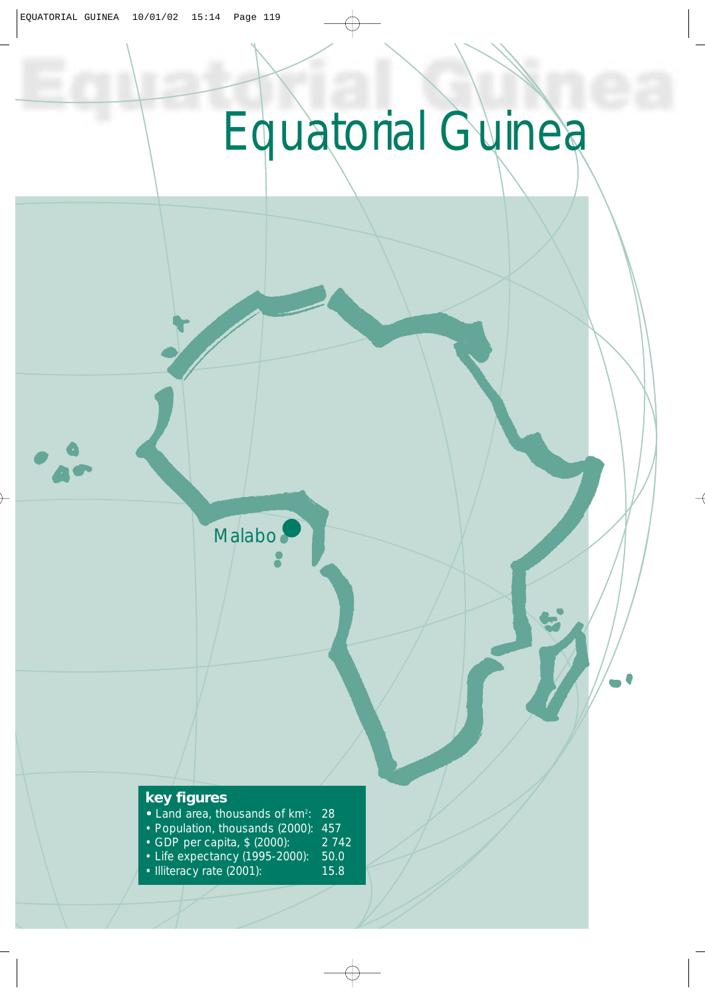

# **key figures**

- Land area, thousands of km<sup>2</sup>: 28
- Population, thousands (2000): 457
- GDP per capita, \$ (2000): 2 742
- Life expectancy (1995-2000): 50.0
- Illiteracy rate (2001): 15.8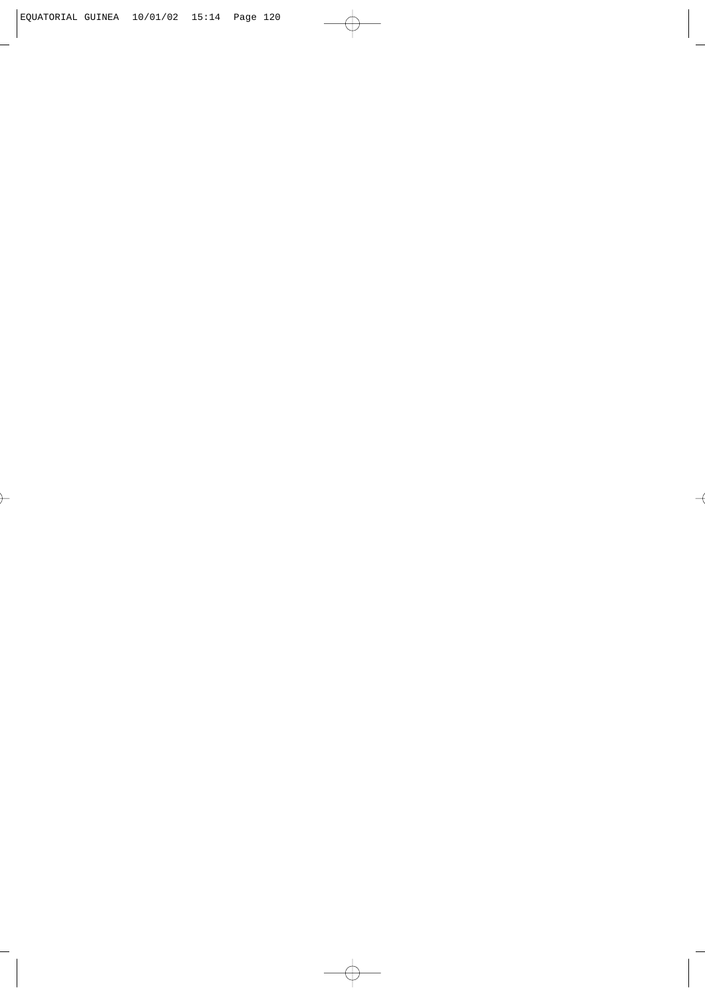$\overline{)}$ 

 $\begin{array}{c} \begin{array}{c} \begin{array}{c} \end{array}\\ \begin{array}{c} \end{array} \end{array} \end{array}$ 

 $\rightarrow$ 

 $\longrightarrow$ 

 $\overline{a}$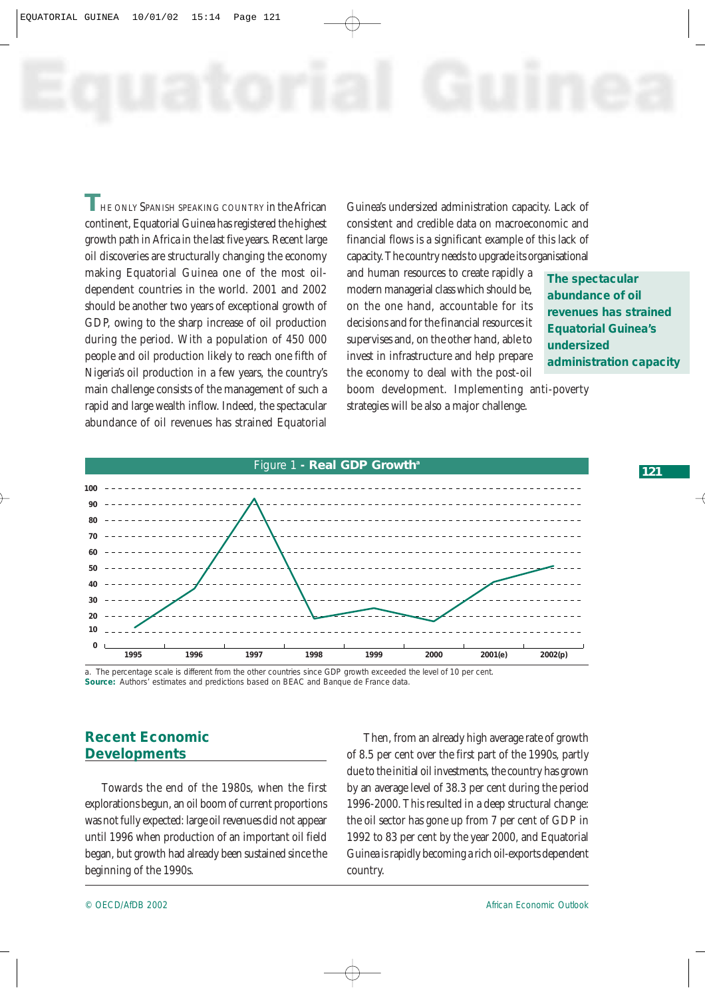THE ONLY SPANISH SPEAKING COUNTRY in the African continent, Equatorial Guinea has registered the highest growth path in Africa in the last five years. Recent large oil discoveries are structurally changing the economy making Equatorial Guinea one of the most oildependent countries in the world. 2001 and 2002 should be another two years of exceptional growth of GDP, owing to the sharp increase of oil production during the period. With a population of 450 000 people and oil production likely to reach one fifth of Nigeria's oil production in a few years, the country's main challenge consists of the management of such a rapid and large wealth inflow. Indeed, the spectacular abundance of oil revenues has strained Equatorial

Guinea's undersized administration capacity. Lack of consistent and credible data on macroeconomic and financial flows is a significant example of this lack of capacity. The country needs to upgrade its organisational

and human resources to create rapidly a modern managerial class which should be, on the one hand, accountable for its decisions and for the financial resources it supervises and, on the other hand, able to invest in infrastructure and help prepare the economy to deal with the post-oil

**The spectacular abundance of oil revenues has strained Equatorial Guinea's undersized administration capacity**

*121*

boom development. Implementing anti-poverty strategies will be also a major challenge.



The percentage scale is different from the other countries since GDP growth exceeded the level of 10 per cent. **Source:** Authors' estimates and predictions based on BEAC and Banque de France data.

# **Recent Economic Developments**

Towards the end of the 1980s, when the first explorations begun, an oil boom of current proportions was not fully expected: large oil revenues did not appear until 1996 when production of an important oil field began, but growth had already been sustained since the beginning of the 1990s.

Then, from an already high average rate of growth of 8.5 per cent over the first part of the 1990s, partly due to the initial oil investments, the country has grown by an average level of 38.3 per cent during the period 1996-2000. This resulted in a deep structural change: the oil sector has gone up from 7 per cent of GDP in 1992 to 83 per cent by the year 2000, and Equatorial Guinea is rapidly becoming a rich oil-exports dependent country.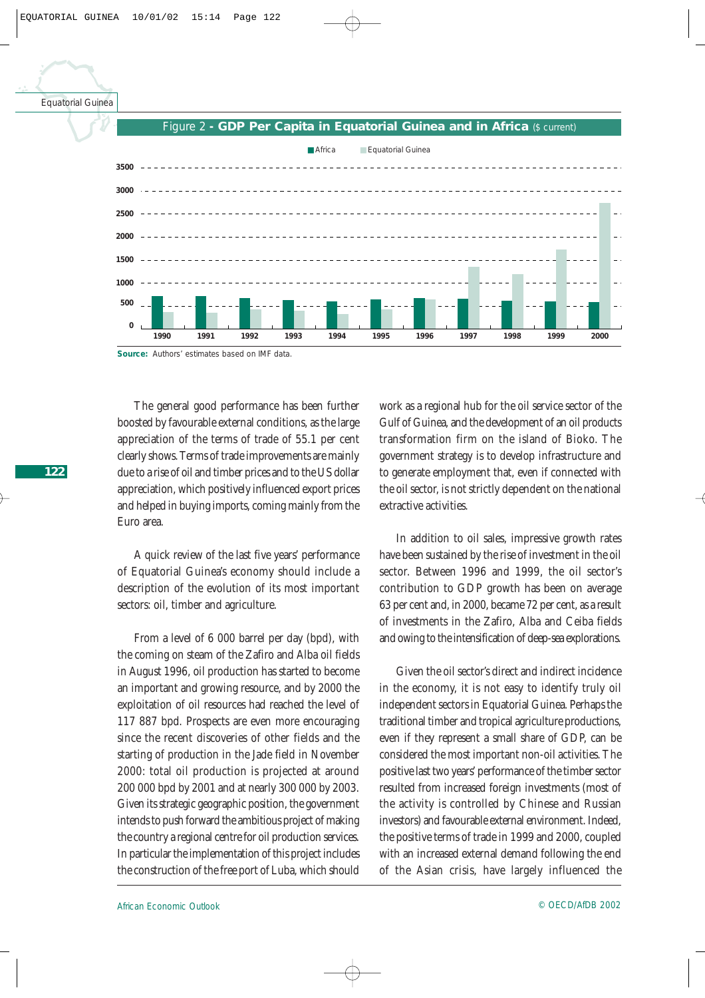*122*

#### Figure 2 **- GDP Per Capita in Equatorial Guinea and in Africa** (\$ current)



**Source:** Authors' estimates based on IMF data.

The general good performance has been further boosted by favourable external conditions, as the large appreciation of the terms of trade of 55.1 per cent clearly shows. Terms of trade improvements are mainly due to a rise of oil and timber prices and to the US dollar appreciation, which positively influenced export prices and helped in buying imports, coming mainly from the Euro area.

A quick review of the last five years' performance of Equatorial Guinea's economy should include a description of the evolution of its most important sectors: oil, timber and agriculture.

From a level of 6 000 barrel per day (bpd), with the coming on steam of the Zafiro and Alba oil fields in August 1996, oil production has started to become an important and growing resource, and by 2000 the exploitation of oil resources had reached the level of 117 887 bpd. Prospects are even more encouraging since the recent discoveries of other fields and the starting of production in the Jade field in November 2000: total oil production is projected at around 200 000 bpd by 2001 and at nearly 300 000 by 2003. Given its strategic geographic position, the government intends to push forward the ambitious project of making the country a regional centre for oil production services. In particular the implementation of this project includes the construction of the free port of Luba, which should

work as a regional hub for the oil service sector of the Gulf of Guinea, and the development of an oil products transformation firm on the island of Bioko. The government strategy is to develop infrastructure and to generate employment that, even if connected with the oil sector, is not strictly dependent on the national extractive activities.

In addition to oil sales, impressive growth rates have been sustained by the rise of investment in the oil sector. Between 1996 and 1999, the oil sector's contribution to GDP growth has been on average 63 per cent and, in 2000, became 72 per cent, as a result of investments in the Zafiro, Alba and Ceiba fields and owing to the intensification of deep-sea explorations.

Given the oil sector's direct and indirect incidence in the economy, it is not easy to identify truly oil independent sectors in Equatorial Guinea. Perhaps the traditional timber and tropical agriculture productions, even if they represent a small share of GDP, can be considered the most important non-oil activities. The positive last two years' performance of the timber sector resulted from increased foreign investments (most of the activity is controlled by Chinese and Russian investors) and favourable external environment. Indeed, the positive terms of trade in 1999 and 2000, coupled with an increased external demand following the end of the Asian crisis, have largely influenced the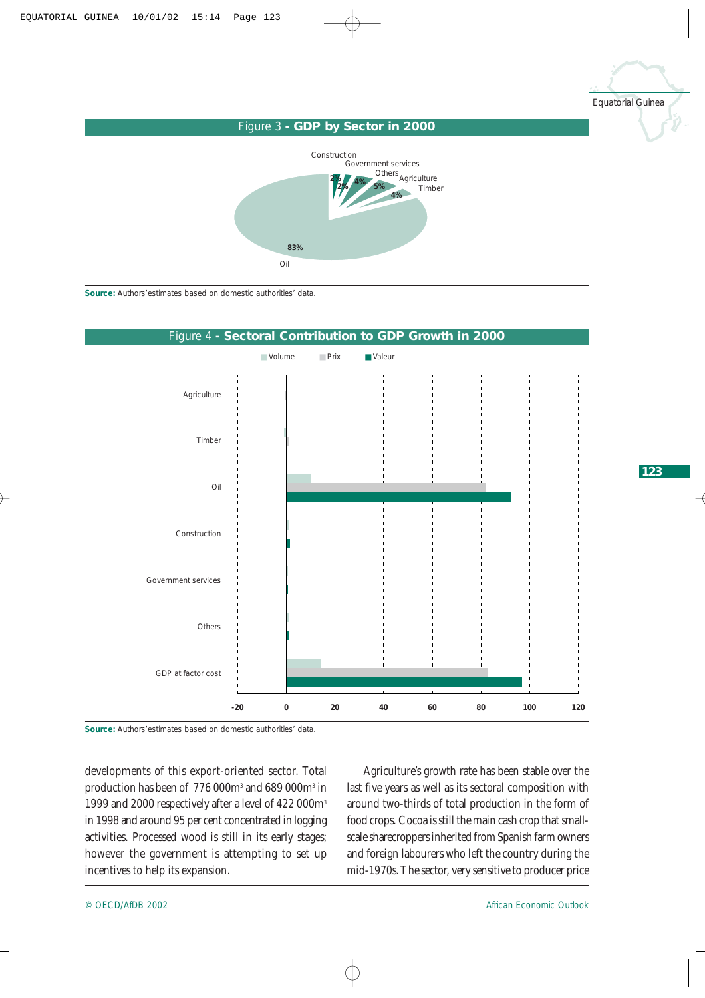

*123*



**Source:** Authors'estimates based on domestic authorities' data.





**Source:** Authors'estimates based on domestic authorities' data.

developments of this export-oriented sector. Total production has been of 776 000m3 and 689 000m3 in 1999 and 2000 respectively after a level of 422 000m3 in 1998 and around 95 per cent concentrated in logging activities. Processed wood is still in its early stages; however the government is attempting to set up incentives to help its expansion.

Agriculture's growth rate has been stable over the last five years as well as its sectoral composition with around two-thirds of total production in the form of food crops. Cocoa is still the main cash crop that smallscale sharecroppers inherited from Spanish farm owners and foreign labourers who left the country during the mid-1970s. The sector, very sensitive to producer price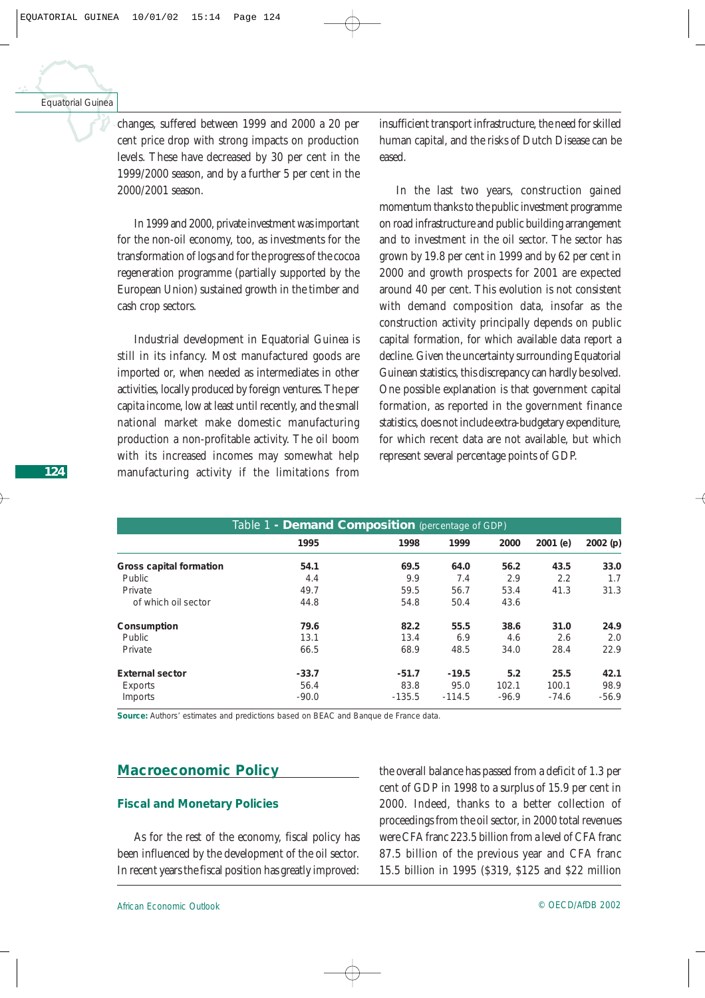changes, suffered between 1999 and 2000 a 20 per cent price drop with strong impacts on production levels. These have decreased by 30 per cent in the 1999/2000 season, and by a further 5 per cent in the 2000/2001 season.

In 1999 and 2000, private investment was important for the non-oil economy, too, as investments for the transformation of logs and for the progress of the cocoa regeneration programme (partially supported by the European Union) sustained growth in the timber and cash crop sectors.

Industrial development in Equatorial Guinea is still in its infancy. Most manufactured goods are imported or, when needed as intermediates in other activities, locally produced by foreign ventures. The per capita income, low at least until recently, and the small national market make domestic manufacturing production a non-profitable activity. The oil boom with its increased incomes may somewhat help manufacturing activity if the limitations from

insufficient transport infrastructure, the need for skilled human capital, and the risks of Dutch Disease can be eased.

In the last two years, construction gained momentum thanks to the public investment programme on road infrastructure and public building arrangement and to investment in the oil sector. The sector has grown by 19.8 per cent in 1999 and by 62 per cent in 2000 and growth prospects for 2001 are expected around 40 per cent. This evolution is not consistent with demand composition data, insofar as the construction activity principally depends on public capital formation, for which available data report a decline. Given the uncertainty surrounding Equatorial Guinean statistics, this discrepancy can hardly be solved. One possible explanation is that government capital formation, as reported in the government finance statistics, does not include extra-budgetary expenditure, for which recent data are not available, but which represent several percentage points of GDP.

| Table 1 - Demand Composition (percentage of GDP) |          |          |         |          |         |  |  |
|--------------------------------------------------|----------|----------|---------|----------|---------|--|--|
| 1995                                             | 1998     | 1999     | 2000    | 2001 (e) | 2002(p) |  |  |
| 54.1                                             | 69.5     | 64.0     | 56.2    | 43.5     | 33.0    |  |  |
| 4.4                                              | 9.9      | 7.4      | 2.9     | 2.2      | 1.7     |  |  |
| 49.7                                             | 59.5     | 56.7     | 53.4    | 41.3     | 31.3    |  |  |
| 44.8                                             | 54.8     | 50.4     | 43.6    |          |         |  |  |
| 79.6                                             | 82.2     | 55.5     | 38.6    | 31.0     | 24.9    |  |  |
| 13.1                                             | 13.4     | 6.9      | 4.6     | 2.6      | 2.0     |  |  |
| 66.5                                             | 68.9     | 48.5     | 34.0    | 28.4     | 22.9    |  |  |
| $-33.7$                                          | $-51.7$  | $-19.5$  | 5.2     | 25.5     | 42.1    |  |  |
| 56.4                                             | 83.8     | 95.0     | 102.1   | 100.1    | 98.9    |  |  |
| $-90.0$                                          | $-135.5$ | $-114.5$ | $-96.9$ | $-74.6$  | $-56.9$ |  |  |
|                                                  |          |          |         |          |         |  |  |

**Source:** Authors' estimates and predictions based on BEAC and Banque de France data.

## **Macroeconomic Policy**

#### *Fiscal and Monetary Policies*

As for the rest of the economy, fiscal policy has been influenced by the development of the oil sector. In recent years the fiscal position has greatly improved: the overall balance has passed from a deficit of 1.3 per cent of GDP in 1998 to a surplus of 15.9 per cent in 2000. Indeed, thanks to a better collection of proceedings from the oil sector, in 2000 total revenues were CFA franc 223.5 billion from a level of CFA franc 87.5 billion of the previous year and CFA franc 15.5 billion in 1995 (\$319, \$125 and \$22 million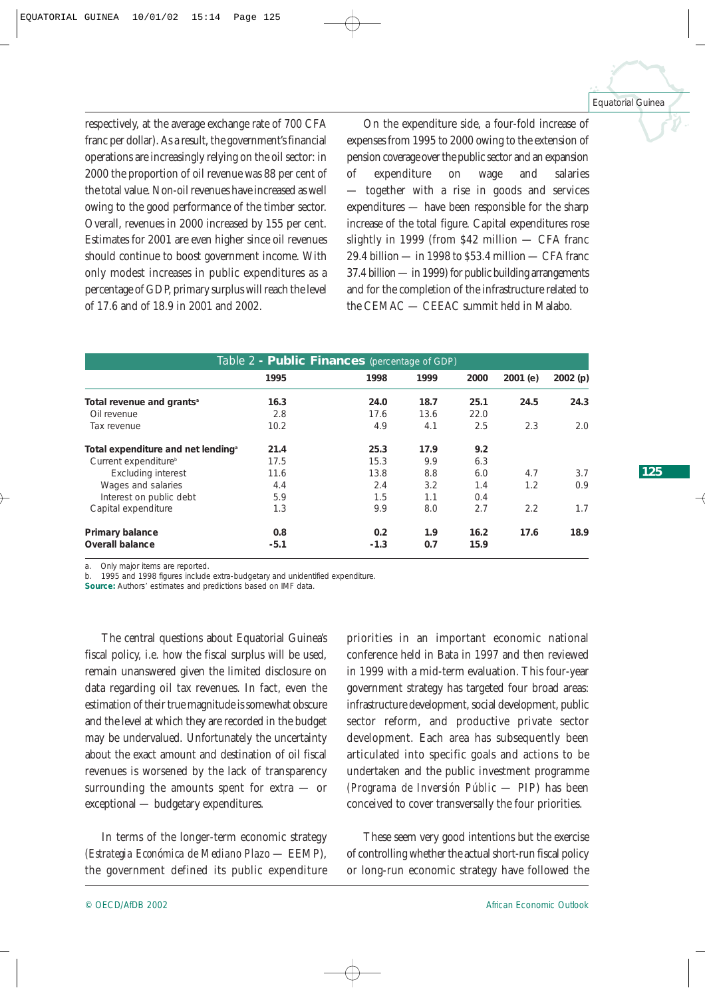*125*

respectively, at the average exchange rate of 700 CFA franc per dollar). As a result, the government's financial operations are increasingly relying on the oil sector: in 2000 the proportion of oil revenue was 88 per cent of the total value. Non-oil revenues have increased as well owing to the good performance of the timber sector. Overall, revenues in 2000 increased by 155 per cent. Estimates for 2001 are even higher since oil revenues should continue to boost government income. With only modest increases in public expenditures as a percentage of GDP, primary surplus will reach the level of 17.6 and of 18.9 in 2001 and 2002.

On the expenditure side, a four-fold increase of expenses from 1995 to 2000 owing to the extension of pension coverage over the public sector and an expansion of expenditure on wage and salaries — together with a rise in goods and services expenditures — have been responsible for the sharp increase of the total figure. Capital expenditures rose slightly in 1999 (from \$42 million — CFA franc 29.4 billion — in 1998 to \$53.4 million — CFA franc 37.4 billion — in 1999) for public building arrangements and for the completion of the infrastructure related to the CEMAC — CEEAC summit held in Malabo.

| Table 2 - Public Finances (percentage of GDP)  |        |        |      |      |         |         |  |
|------------------------------------------------|--------|--------|------|------|---------|---------|--|
|                                                | 1995   | 1998   | 1999 | 2000 | 2001(e) | 2002(p) |  |
| Total revenue and grants <sup>a</sup>          | 16.3   | 24.0   | 18.7 | 25.1 | 24.5    | 24.3    |  |
| Oil revenue                                    | 2.8    | 17.6   | 13.6 | 22.0 |         |         |  |
| Tax revenue                                    | 10.2   | 4.9    | 4.1  | 2.5  | 2.3     | 2.0     |  |
| Total expenditure and net lending <sup>a</sup> | 21.4   | 25.3   | 17.9 | 9.2  |         |         |  |
| Current expenditure <sup>b</sup>               | 17.5   | 15.3   | 9.9  | 6.3  |         |         |  |
| <b>Excluding interest</b>                      | 11.6   | 13.8   | 8.8  | 6.0  | 4.7     | 3.7     |  |
| Wages and salaries                             | 4.4    | 2.4    | 3.2  | 1.4  | 1.2     | 0.9     |  |
| Interest on public debt                        | 5.9    | 1.5    | 1.1  | 0.4  |         |         |  |
| Capital expenditure                            | 1.3    | 9.9    | 8.0  | 2.7  | 2.2     | 1.7     |  |
| Primary balance                                | 0.8    | 0.2    | 1.9  | 16.2 | 17.6    | 18.9    |  |
| <b>Overall balance</b>                         | $-5.1$ | $-1.3$ | 0.7  | 15.9 |         |         |  |

Only major items are reported.

b. 1995 and 1998 figures include extra-budgetary and unidentified expenditure.

**Source:** Authors' estimates and predictions based on IMF data.

The central questions about Equatorial Guinea's fiscal policy, i.e. how the fiscal surplus will be used, remain unanswered given the limited disclosure on data regarding oil tax revenues. In fact, even the estimation of their true magnitude is somewhat obscure and the level at which they are recorded in the budget may be undervalued. Unfortunately the uncertainty about the exact amount and destination of oil fiscal revenues is worsened by the lack of transparency surrounding the amounts spent for extra — or exceptional — budgetary expenditures.

In terms of the longer-term economic strategy *(Estrategia Económica de Mediano Plazo* — EEMP), the government defined its public expenditure

priorities in an important economic national conference held in Bata in 1997 and then reviewed in 1999 with a mid-term evaluation. This four-year government strategy has targeted four broad areas: infrastructure development, social development, public sector reform, and productive private sector development. Each area has subsequently been articulated into specific goals and actions to be undertaken and the public investment programme *(Programa de Inversión Públic* — PIP) has been conceived to cover transversally the four priorities.

These seem very good intentions but the exercise of controlling whether the actual short-run fiscal policy or long-run economic strategy have followed the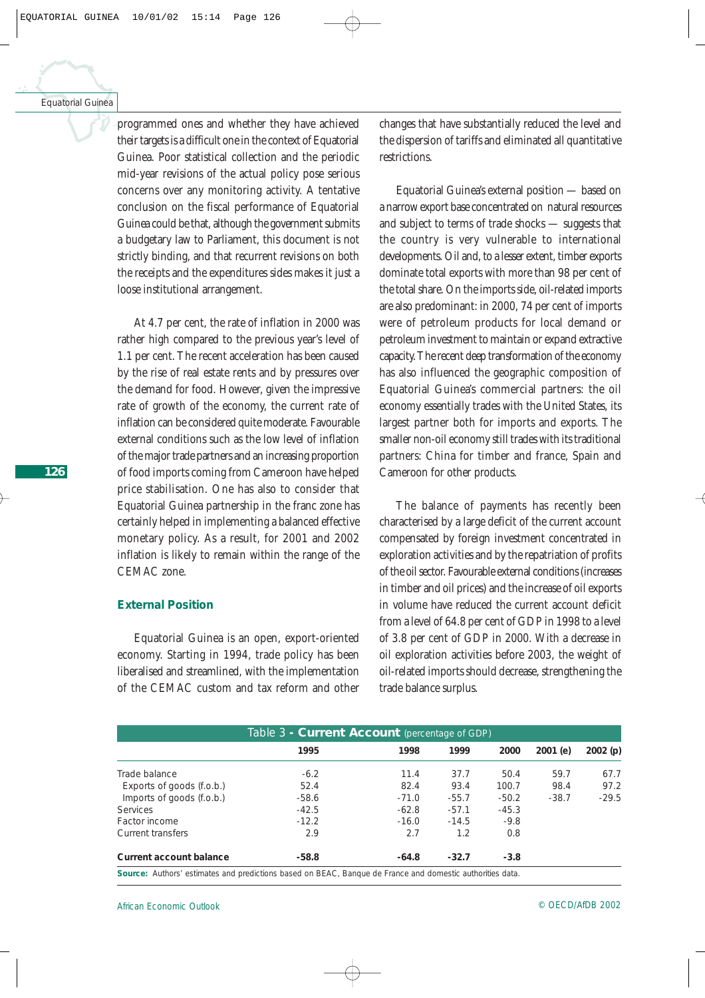programmed ones and whether they have achieved their targets is a difficult one in the context of Equatorial Guinea. Poor statistical collection and the periodic mid-year revisions of the actual policy pose serious concerns over any monitoring activity. A tentative conclusion on the fiscal performance of Equatorial Guinea could be that, although the government submits a budgetary law to Parliament, this document is not strictly binding, and that recurrent revisions on both the receipts and the expenditures sides makes it just a loose institutional arrangement.

At 4.7 per cent, the rate of inflation in 2000 was rather high compared to the previous year's level of 1.1 per cent. The recent acceleration has been caused by the rise of real estate rents and by pressures over the demand for food. However, given the impressive rate of growth of the economy, the current rate of inflation can be considered quite moderate. Favourable external conditions such as the low level of inflation of the major trade partners and an increasing proportion of food imports coming from Cameroon have helped price stabilisation. One has also to consider that Equatorial Guinea partnership in the franc zone has certainly helped in implementing a balanced effective monetary policy. As a result, for 2001 and 2002 inflation is likely to remain within the range of the CEMAC zone.

#### *External Position*

Equatorial Guinea is an open, export-oriented economy. Starting in 1994, trade policy has been liberalised and streamlined, with the implementation of the CEMAC custom and tax reform and other changes that have substantially reduced the level and the dispersion of tariffs and eliminated all quantitative restrictions.

Equatorial Guinea's external position — based on a narrow export base concentrated on natural resources and subject to terms of trade shocks — suggests that the country is very vulnerable to international developments. Oil and, to a lesser extent, timber exports dominate total exports with more than 98 per cent of the total share. On the imports side, oil-related imports are also predominant: in 2000, 74 per cent of imports were of petroleum products for local demand or petroleum investment to maintain or expand extractive capacity. The recent deep transformation of the economy has also influenced the geographic composition of Equatorial Guinea's commercial partners: the oil economy essentially trades with the United States, its largest partner both for imports and exports. The smaller non-oil economy still trades with its traditional partners: China for timber and france, Spain and Cameroon for other products.

The balance of payments has recently been characterised by a large deficit of the current account compensated by foreign investment concentrated in exploration activities and by the repatriation of profits of the oil sector. Favourable external conditions (increases in timber and oil prices) and the increase of oil exports in volume have reduced the current account deficit from a level of 64.8 per cent of GDP in 1998 to a level of 3.8 per cent of GDP in 2000. With a decrease in oil exploration activities before 2003, the weight of oil-related imports should decrease, strengthening the trade balance surplus.

| Table 3 - <b>Current Account</b> (percentage of GDP)                                                      |         |         |         |         |         |         |  |  |
|-----------------------------------------------------------------------------------------------------------|---------|---------|---------|---------|---------|---------|--|--|
|                                                                                                           | 1995    | 1998    | 1999    | 2000    | 2001(e) | 2002(p) |  |  |
| Trade balance                                                                                             | $-6.2$  | 11.4    | 37.7    | 50.4    | 59.7    | 67.7    |  |  |
| Exports of goods (f.o.b.)                                                                                 | 52.4    | 82.4    | 93.4    | 100.7   | 98.4    | 97.2    |  |  |
| Imports of goods (f.o.b.)                                                                                 | $-58.6$ | $-71.0$ | $-55.7$ | $-50.2$ | $-38.7$ | $-29.5$ |  |  |
| <b>Services</b>                                                                                           | $-42.5$ | $-62.8$ | $-57.1$ | $-45.3$ |         |         |  |  |
| Factor income                                                                                             | $-12.2$ | $-16.0$ | $-14.5$ | $-9.8$  |         |         |  |  |
| <b>Current transfers</b>                                                                                  | 2.9     | 2.7     | 1.2     | 0.8     |         |         |  |  |
| <b>Current account balance</b>                                                                            | $-58.8$ | $-64.8$ | $-32.7$ | $-3.8$  |         |         |  |  |
| Source: Authors' estimates and predictions based on BEAC, Bangue de France and domestic authorities data. |         |         |         |         |         |         |  |  |

African Economic Outlook © OECD/AfDB 2002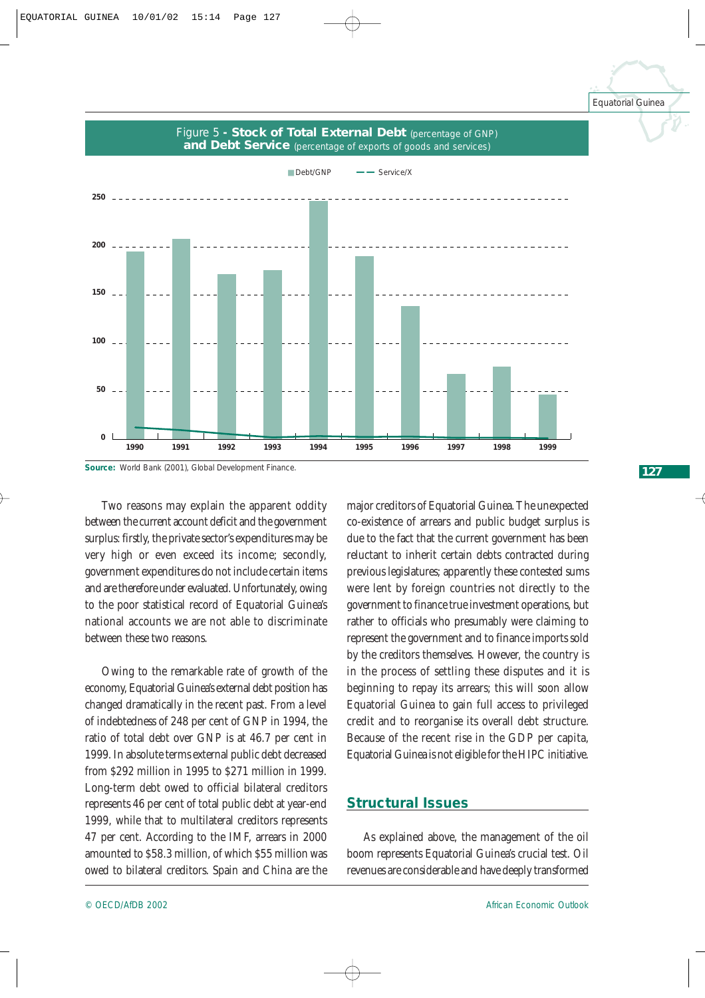*127*



Figure 5 **- Stock of Total External Debt** (percentage of GNP)

**Source:** World Bank (2001), *Global Development Finance.*

Two reasons may explain the apparent oddity between the current account deficit and the government surplus: firstly, the private sector's expenditures may be very high or even exceed its income; secondly, government expenditures do not include certain items and are therefore under evaluated. Unfortunately, owing to the poor statistical record of Equatorial Guinea's national accounts we are not able to discriminate between these two reasons.

Owing to the remarkable rate of growth of the economy, Equatorial Guinea's external debt position has changed dramatically in the recent past. From a level of indebtedness of 248 per cent of GNP in 1994, the ratio of total debt over GNP is at 46.7 per cent in 1999. In absolute terms external public debt decreased from \$292 million in 1995 to \$271 million in 1999. Long-term debt owed to official bilateral creditors represents 46 per cent of total public debt at year-end 1999, while that to multilateral creditors represents 47 per cent. According to the IMF, arrears in 2000 amounted to \$58.3 million, of which \$55 million was owed to bilateral creditors. Spain and China are the

major creditors of Equatorial Guinea. The unexpected co-existence of arrears and public budget surplus is due to the fact that the current government has been reluctant to inherit certain debts contracted during previous legislatures; apparently these contested sums were lent by foreign countries not directly to the government to finance true investment operations, but rather to officials who presumably were claiming to represent the government and to finance imports sold by the creditors themselves. However, the country is in the process of settling these disputes and it is beginning to repay its arrears; this will soon allow Equatorial Guinea to gain full access to privileged credit and to reorganise its overall debt structure. Because of the recent rise in the GDP per capita, Equatorial Guinea is not eligible for the HIPC initiative.

### **Structural Issues**

As explained above, the management of the oil boom represents Equatorial Guinea's crucial test. Oil revenues are considerable and have deeply transformed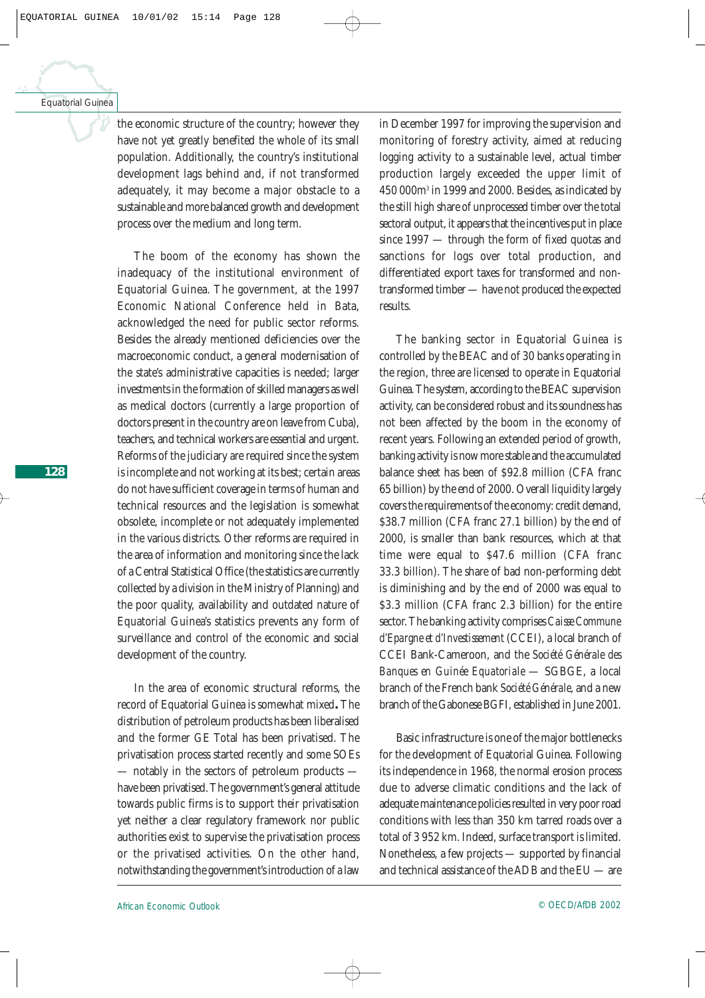the economic structure of the country; however they have not yet greatly benefited the whole of its small population. Additionally, the country's institutional development lags behind and, if not transformed adequately, it may become a major obstacle to a sustainable and more balanced growth and development process over the medium and long term.

The boom of the economy has shown the inadequacy of the institutional environment of Equatorial Guinea. The government, at the 1997 Economic National Conference held in Bata, acknowledged the need for public sector reforms. Besides the already mentioned deficiencies over the macroeconomic conduct, a general modernisation of the state's administrative capacities is needed; larger investments in the formation of skilled managers as well as medical doctors (currently a large proportion of doctors present in the country are on leave from Cuba), teachers, and technical workers are essential and urgent. Reforms of the judiciary are required since the system is incomplete and not working at its best; certain areas do not have sufficient coverage in terms of human and technical resources and the legislation is somewhat obsolete, incomplete or not adequately implemented in the various districts. Other reforms are required in the area of information and monitoring since the lack of a Central Statistical Office (the statistics are currently collected by a division in the Ministry of Planning) and the poor quality, availability and outdated nature of Equatorial Guinea's statistics prevents any form of surveillance and control of the economic and social development of the country.

In the area of economic structural reforms, the record of Equatorial Guinea is somewhat mixed*.* The distribution of petroleum products has been liberalised and the former GE Total has been privatised. The privatisation process started recently and some SOEs — notably in the sectors of petroleum products have been privatised. The government's general attitude towards public firms is to support their privatisation yet neither a clear regulatory framework nor public authorities exist to supervise the privatisation process or the privatised activities. On the other hand, notwithstanding the government's introduction of a law

in December 1997 for improving the supervision and monitoring of forestry activity, aimed at reducing logging activity to a sustainable level, actual timber production largely exceeded the upper limit of 450 000m3 in 1999 and 2000. Besides, as indicated by the still high share of unprocessed timber over the total sectoral output, it appears that the incentives put in place since 1997 — through the form of fixed quotas and sanctions for logs over total production, and differentiated export taxes for transformed and nontransformed timber — have not produced the expected results.

The banking sector in Equatorial Guinea is controlled by the BEAC and of 30 banks operating in the region, three are licensed to operate in Equatorial Guinea. The system, according to the BEAC supervision activity, can be considered robust and its soundness has not been affected by the boom in the economy of recent years. Following an extended period of growth, banking activity is now more stable and the accumulated balance sheet has been of \$92.8 million (CFA franc 65 billion) by the end of 2000. Overall liquidity largely covers the requirements of the economy: credit demand, \$38.7 million (CFA franc 27.1 billion) by the end of 2000, is smaller than bank resources, which at that time were equal to \$47.6 million (CFA franc 33.3 billion). The share of bad non-performing debt is diminishing and by the end of 2000 was equal to \$3.3 million (CFA franc 2.3 billion) for the entire sector. The banking activity comprises *Caisse Commune d'Epargne et d'Investissement* (CCEI), a local branch of CCEI Bank-Cameroon, and the *Société Générale des Banques en Guinée Equatoriale* — SGBGE, a local branch of the French bank *Société Générale*, and a new branch of the Gabonese BGFI, established in June 2001.

Basic infrastructure is one of the major bottlenecks for the development of Equatorial Guinea. Following its independence in 1968, the normal erosion process due to adverse climatic conditions and the lack of adequate maintenance policies resulted in very poor road conditions with less than 350 km tarred roads over a total of 3 952 km. Indeed, surface transport is limited. Nonetheless, a few projects — supported by financial and technical assistance of the ADB and the EU — are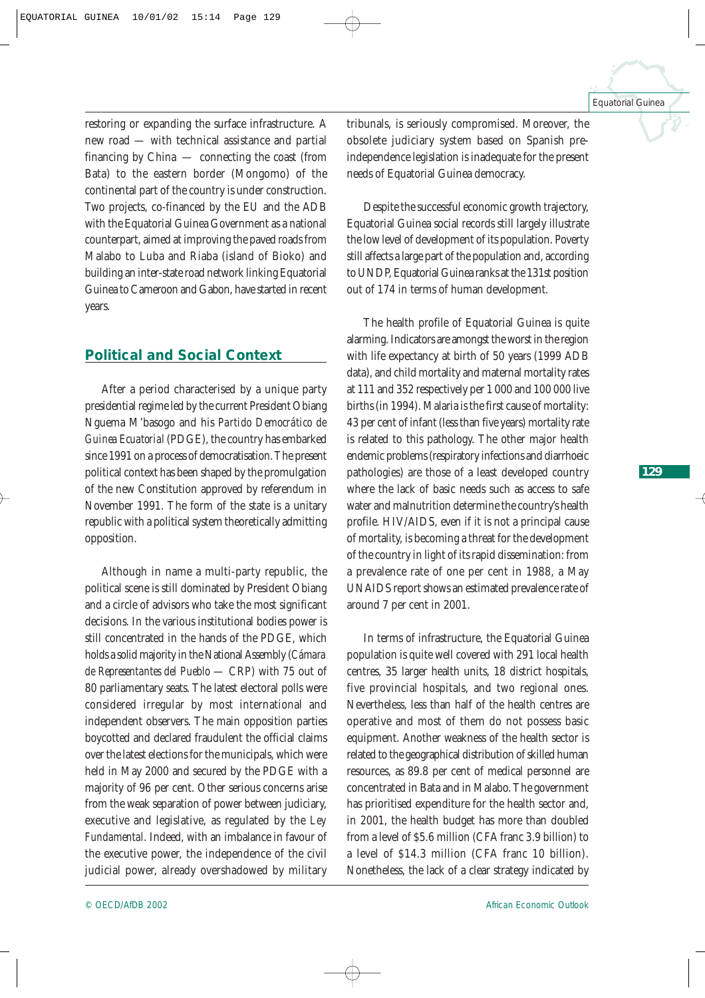restoring or expanding the surface infrastructure. A new road — with technical assistance and partial financing by China — connecting the coast (from Bata) to the eastern border (Mongomo) of the continental part of the country is under construction. Two projects, co-financed by the EU and the ADB with the Equatorial Guinea Government as a national counterpart, aimed at improving the paved roads from Malabo to Luba and Riaba (island of Bioko) and building an inter-state road network linking Equatorial Guinea to Cameroon and Gabon, have started in recent years.

## **Political and Social Context**

After a period characterised by a unique party presidential regime led by the current President Obiang Nguema M'basogo and his *Partido Democrático de Guinea Ecuatorial* (PDGE), the country has embarked since 1991 on a process of democratisation. The present political context has been shaped by the promulgation of the new Constitution approved by referendum in November 1991. The form of the state is a unitary republic with a political system theoretically admitting opposition.

Although in name a multi-party republic, the political scene is still dominated by President Obiang and a circle of advisors who take the most significant decisions. In the various institutional bodies power is still concentrated in the hands of the PDGE, which holds a solid majority in the National Assembly (*Cámara de Representantes del Pueblo* — CRP) with 75 out of 80 parliamentary seats. The latest electoral polls were considered irregular by most international and independent observers. The main opposition parties boycotted and declared fraudulent the official claims over the latest elections for the municipals, which were held in May 2000 and secured by the PDGE with a majority of 96 per cent. Other serious concerns arise from the weak separation of power between judiciary, executive and legislative, as regulated by the *Ley Fundamental*. Indeed, with an imbalance in favour of the executive power, the independence of the civil judicial power, already overshadowed by military

Equatorial Guinea

tribunals, is seriously compromised. Moreover, the obsolete judiciary system based on Spanish preindependence legislation is inadequate for the present needs of Equatorial Guinea democracy.

Despite the successful economic growth trajectory, Equatorial Guinea social records still largely illustrate the low level of development of its population. Poverty still affects a large part of the population and, according to UNDP, Equatorial Guinea ranks at the 131st position out of 174 in terms of human development.

The health profile of Equatorial Guinea is quite alarming. Indicators are amongst the worst in the region with life expectancy at birth of 50 years (1999 ADB data), and child mortality and maternal mortality rates at 111 and 352 respectively per 1 000 and 100 000 live births (in 1994). Malaria is the first cause of mortality: 43 per cent of infant (less than five years) mortality rate is related to this pathology. The other major health endemic problems (respiratory infections and diarrhoeic pathologies) are those of a least developed country where the lack of basic needs such as access to safe water and malnutrition determine the country's health profile. HIV/AIDS, even if it is not a principal cause of mortality, is becoming a threat for the development of the country in light of its rapid dissemination: from a prevalence rate of one per cent in 1988, a May UNAIDS report shows an estimated prevalence rate of around 7 per cent in 2001.

In terms of infrastructure, the Equatorial Guinea population is quite well covered with 291 local health centres, 35 larger health units, 18 district hospitals, five provincial hospitals, and two regional ones. Nevertheless, less than half of the health centres are operative and most of them do not possess basic equipment. Another weakness of the health sector is related to the geographical distribution of skilled human resources, as 89.8 per cent of medical personnel are concentrated in Bata and in Malabo. The government has prioritised expenditure for the health sector and, in 2001, the health budget has more than doubled from a level of \$5.6 million (CFA franc 3.9 billion) to a level of \$14.3 million (CFA franc 10 billion). Nonetheless, the lack of a clear strategy indicated by